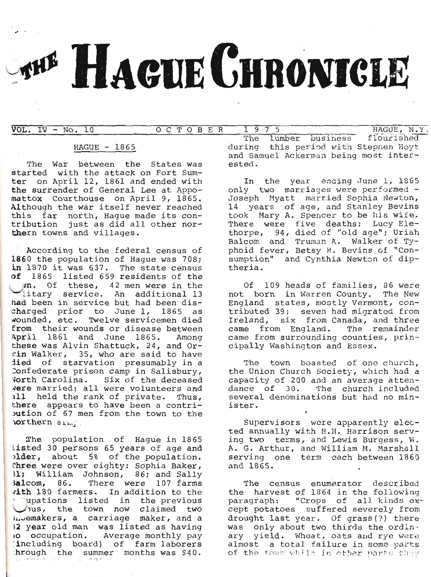# **THE HAGUE CHRONICLE**

 $VOL. IV - No. 10$ 

OCTOBER  $1975$  HAGUE, N.Y.

# $HAGUE - 1865$

The War between the States was started with the attack on Fort Sumter on April 12, 1861 and ended with the surrender of General Lee at Appomattox Courthouse on April 9, 1865. Although the war itself never reached this far north, Haque made its contribution just as did all other northern towns and villages.

According to the federal census of 1860 the population of Hague was 708; in 1870 it was 637. The state census of 1865 listed 659 residents of the m. Of these, 42 men were in the litary service. An additional 13 had been in service but had been discharged prior to June 1, 1865 as<br>wounded, etc. Twelve servicemen died from their wounds or disease between April 1861 and June 1865. Among these was Alvin Shattuck, 24, and Orrin Walker, 35, who are said to have died of starvation presumably in a Confederate prison camp in Salisbury, North Carolina. Six of the deceased were married; all were volunteers and all held the rank of private. Thus, there appears to have been a contripution of 67 men from the town to the northern army.

The population of Hague in 1865 listed 30 persons 65 years of age and plder, about 5% of the population. Three were over eighty: Sophia Baker, 31; William Johnson, 86; and Sally 3alcom, 86. There were 107 farms vith 180 farmers. In addition to the upations listed in the previous sus, the town now claimed two invemakers, a carriage maker, and a 32 year old man was listed as having 10 occupation. Average monthly pay (including board) of farm laborers hrough the summer months was \$40.  $\pm$   $_{\pm}$ موجمانيا

The lumber business flourished during this period with Stephen Hoyt and Samuel Ackerman being most interested.

In the year ending June 1, 1865 only two marriages were performed -Joseph Myatt married Sophia Newton, 14 years of age, and Stanley Bevins took Mary A. Spencer to be his wife. There were five deaths; Lucy Elethorpe, 94, died of "old age"; Uriah Balcom and Truman A. Walker of Tvphoid fever, Betsy R. Bevins of "Consumption" and Cynthia Newton of diptheria.

Of 109 heads of families, 86 were not born in Warren County. The New England states, mostly Vermont, contributed 39; seven had migrated from Ireland, six from Canada, and three came from England. The remainder came from surrounding counties, principally Washington and Essex.

The town boasted of one church, the Union Church Society, which had a capacity of 200 and an average attendance of 30. The church included several denominations but had no minister.

Supervisors were apparently elected annually with H.H. Harrison serving two terms, and Lewis Burgess, W. A. G. Arthur, and William M. Marshall serving one term each between 1860 and 1865.

The census enumerator described the harvest of 1864 in the following paragraph: "Crops of all kinds except potatoes suffered severely from drought last year. Of grass(?) there was only about two thirds the ordinary yield. Wheat, oats and rye were almost a total failure in some parts of the town while in other parts they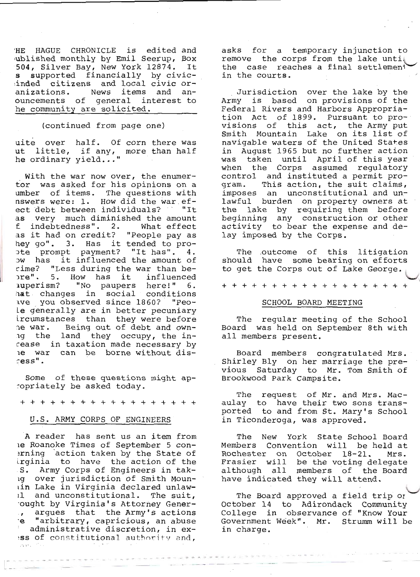HE HAGUE CHRONICLE is edited and ublished monthly by Emil Seerup, Box 504, Silver Bay, New York 12874. It supported financially by civics i inded citizens and local civic oranizations. News items and anouncements of general interest to he community are solicited.

(continued from page one)

uite over half. Of corn there was ut little, if any, more than half<br>he ordinary yield..."

With the war now over, the enumertor was asked for his opinions on a umber of items. The questions with nswers were: 1. How did the war efect debt between individuals? "It as very much diminished the amount f indebtedness". 2. What effect as it had on credit? "People pay as hey go". 3. Has it tended to proote prompt payment? "It has". 4. ow has it influenced the amount of rime? "Less during the war than bepre". 5. How has it influenced auperism? "No paupers here!" 6. hat changes in social conditions ave you observed since 1860? "Peole generally are in better pecuniary ircumstances than they were before<br>ne war. Being out of debt and ownng the land they occupy, the incease in taxation made necessary by le war can be borne without dis $resS$ <sup>"</sup>.

Some of these questions might apcopriately be asked today.

+ + + + + + + + + + + + + + + + + +

## U.S. ARMY CORPS OF ENGINEERS

A reader has sent us an item from le Roanoke Times of September 5 conerning action taken by the State of<br>irginia to have the action of the S. Army Corps of Engineers in tak-1g over jurisdiction of Smith Mounuin Lake in Virginia declared unlawil and unconstitutional. The suit, ought by Virginia's Attorney Generargues that the Army's actions  $\cdot$   $\blacksquare$ "arbitrary, capricious, an abuse ٠e administrative discretion, in exiss of constitutional authority and,

asks for a temporary injunction to remove the corps from the lake until the case reaches a final settlement in the courts.

Jurisdiction over the lake by the<br>Army is based on provisions of the Federal Rivers and Harbors Appropriation Act of 1899. Pursuant to provisions of this act, the Army put Smith Mountain Lake on its list of navigable waters of the United States in August 1965 but no further action was taken until April of this year when the Corps assumed regulatory control and instituted a permit pro-This action, the suit claims, qram. imposes an unconstitutional and unlawful burden on property owners at the lake by requiring them before beginning any construction or other activity to bear the expense and delay imposed by the Corps.

The outcome of this litigation should have some bearing on efforts to get the Corps out of Lake George.

+ + + + + + + + + + + + + + + + + + +

#### SCHOOL BOARD MEETING

The regular meeting of the School Board was held on September 8th with all members present.

Board members congratulated Mrs. Shirley Bly on her marriage the previous Saturday to Mr. Tom Smith of Brookwood Park Campsite.

The request of Mr. and Mrs. Macaulay to have their two sons transported to and from St. Mary's School in Ticonderoga, was approved.

The New York State School Board Members Convention will be held at Rochester on October 18-21. Mrs. Frasier will be the voting delegate although all members of the Board have indicated they will attend.

The Board approved a field trip or October 14 to Adirondack Community College in observance of "Know Your Government Week". Mr. Strumm will be in charge.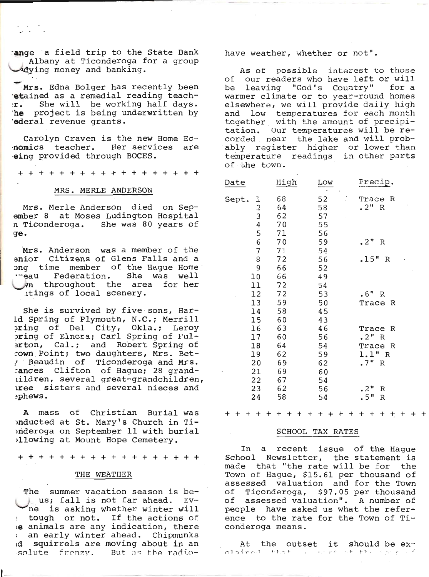tange a field trip to the State Bank Albany at Ticonderoga for a group<br>Adying money and banking.

 $\mathcal{L} \times \mathcal{L}$ 

Mrs. Edna Bolger has recently been 'etained as a remedial reading teach- r. She will be working half days. 'he project is being underwritten by 'ederal revenue grants.

Carolyn Craven is the new Home Ec-<br>nomics teacher. Her services are<br>eing provided through BOCES.

++++++++++++++++++

#### MRS. MERLE ANDERSON

Mrs. Merle Anderson died on Sep-<br>ember 8 at Moses Ludington Hospital<br>n Ticonderoga. She was 80 years of 9€.

Mrs. Anderson was a member of the enior Citizens of G1ens Falls and a ong time member of the Hague Home<br>''eau Federation. She was well \-/n throughout the area for her itings of local scenery.

She is survived by five sons, Har-Ld Spring of Plymouth, N.C.; Merrill<br>oring of Del City, Okla.; Leroy<br>oring of Elnora; Carl Spring of Ful-<br>erton, Cal.; and Robert Spring of .own Point; two daughters, Mrs. Bet-The Beaudin of Ticonderoga and Mrs.<br>Tances Clifton of Hague; 28 grandiildren, several great-grandchildren,<br>iree sisters and several nieces and :phews.

A mass of Christian Burial was onducted at St. Mary's Church in Tirnderoga on September 11 with burial plowing at Mount Hope Cemetery.

++++++++++++++++++

## THE WEATHER

The summer vacation season is be-<br> us; fall is not far ahead. Ev-<br>ne is asking whether winter will : tough or not. If the actions of re cought of not. If the actions of % an early winter ahead. Chipmunks id squirrels are moving about in an ,solute frenzy, But as the radiohave weather, whether or not".

As of possible interest to those<br>of our readers who have left or will<br>be leaving "God's Country" for a warmer climate or to year-round homes<br>elsewhere, we will provide daily high and low temperatures for each month<br>together with the amount of precipi-<br>tation. Our temperatures will be re-<br>corded near the lake and will prob-<br>ably register higher or lower than temperature readings in other parts<br>of the town.

| Date                             | High                  | Low<br>$\mathbf{r}$      | Precip.                                          |
|----------------------------------|-----------------------|--------------------------|--------------------------------------------------|
| Sept.<br>1<br>$\frac{2}{3}$<br>4 | 68<br>64<br>62<br>70  | 52<br>58<br>57<br>55     | Trace<br>R<br>2"<br>R                            |
| 5                                | 71                    | 56                       |                                                  |
| 6                                | 70                    | 59                       | $\cdot$ 2"<br>R                                  |
| 7                                | 71                    | 54                       |                                                  |
| 8                                | 72                    | 56                       | .15"<br>$\mathbb R$                              |
| 9                                | 66                    | 52                       |                                                  |
| 10                               | 66                    | 49                       |                                                  |
| 11                               | 72                    | 54                       |                                                  |
| 12                               | 72                    | 53                       | .6"<br>$\mathbb R$                               |
| 13                               | 59                    | 50                       | Trace<br>R                                       |
| 14                               | 58                    | 45                       |                                                  |
| 15                               | 60                    | 43                       |                                                  |
| 16                               | 63                    | 46                       | Trace<br>R                                       |
| 17                               | 60                    | 56                       | .2" R                                            |
| 18 <sup>°</sup>                  | 64                    | 54                       | Trace<br>R                                       |
| 19                               | 62                    | 59                       | 1.1"<br>$\mathbb{R}$                             |
| 20                               | 69                    | 62                       | .7"<br>$\, {\bf R}$                              |
| 21                               | 69                    | 60                       |                                                  |
| 22                               | 67                    | 54                       |                                                  |
| 23<br>24                         | 62<br>58              | 56<br>54                 | .2"<br>R<br>.5"<br>R                             |
| +                                | $\div$<br>+<br>┿<br>ተ | +<br>+<br>$\ddot{}$<br>+ | $\ddot{}$<br>$\mathbf +$<br>+<br>+<br>$+ +$<br>+ |

# SCHOOL TAX RATES

In a recent issue of the Hague<br>School Newsletter, the statement is<br>made that "the rate will be for the Town of Hague, \$15.61 per thousand of<br>assessed valuation and for the Town<br>of Ticonderoga, \$97.05 per thousand<br>of assessed valuation". A number of made that "the rate will be for the assessed valuation and for the Town<br>of Ticonderoga, \$97.05 per thousand of Ticonderoga, \$97.05 per thousand<br>of assessed valuation". A number of<br>people have asked us what the refer-<br>ence to the rate for the Town of Ticonderoga means.

At the outset it should be ex- $\alpha$ lair $\alpha$ d, that ...v.et af the same  $\epsilon$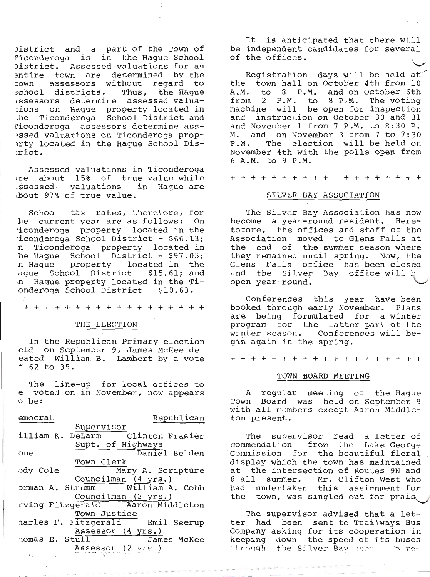District and a part of the Town of<br>Piconderoga is in the Hague School<br>District. Assessed valuations for an<br>entire town are determined by the<br>cown assessors without regard to<br>school districts. Thus, the Hague<br>ussessors dete

Assessed valuations in '<br>
re about 15% of true ssessed valuations in<br>
bout 97% of true value. Assessed valuations in Ticonderoga are about 15% of true value while Hague are

School tax rates, therefore, for<br>he current year are as follows: On<br>'iconderoga property located in the<br>'iconderoga School District - \$66.13;<br>n Ticonderoga property located in<br>he Hague School District - \$97.05;<br>n Hague pro

++++++++++++++++++

## THE ELECTTON

In the Republican Primary election<br>eld on September 9, James McKee de-<br>eated William B. Lambert by a vote<br>f 62 to 35.

e voted on in November, now appears o be: The line-up for local offices to

| emocrat                          | Republican          |
|----------------------------------|---------------------|
| Supervisor                       |                     |
| illiam K. DeLarm Clinton Frasier |                     |
|                                  | Supt. of Highways   |
| one                              | Daniel Belden       |
| Town Clerk                       |                     |
| ody Cole                         | Mary A. Scripture   |
|                                  | Councilman (4 yrs.) |
| orman A. Strumm William A. Cobb  |                     |
|                                  | Councilman (2 yrs.) |
| rving Fitzgerald Aaron Middleton |                     |
| Town Justice                     |                     |
| harles F. Fitzgerald Emil Seerup |                     |
|                                  | Assessor (4 yrs.)   |
| nomas E. Stull                   | James McKee         |
| and the company of the           | Assessor (2 yrs.)   |
|                                  |                     |

It is anticipated that there will<br>)istrict and a part of the Town of be independent candidates for several<br>Piconderoga is in the Hague School of the offices. be independent candidates for several

Registration days will be held at<br>the town hall on October 4th from 10<br>A.M. to 8 P.M. and on October 6th<br>from 2 P.M. to 8 P.M. The voting<br>machine will be open for inspection<br>and instruction on October 30 and 31<br>and Novembe

+++++++++++++++++++

## SILVER BAY ASSOCIATION

The Silver Bay Association has now<br>become a year-round resident. Here-<br>tofore, the offices and staff of the<br>Association moved to Glens Falls at<br>the end of the summer season where<br>they remained until spring. Now, the<br>Glens open year-round.

Conferences this year have been<br>booked through early November. Plans<br>are being formulated for a winter<br>program for the latter part of the<br>winter season. Conferences will be-<br>gin again in the spring.

+++++++++++++++++++

## TOWN BOARD MEETING

A regular meeting<br>Town Board was held<br>with all members except<br>ton present. A regular meeting of the Hague<br>Town Board was held on September 9 Aaron Middle-

The supervisor read a letter of<br>commendation from the Lake George<br>Commission for the beautiful floral<br>display which the town has maintained<br>at the intersection of Routes 9N and<br>8 all summer. Mr. Clifton West who<br>had undert

The supervisor advised that a let-<br>ter had been sent to Trailways Bus<br>Company asking for its cooperation in<br>keeping down the speed of its buses<br>through the Silver Bay :lter. ... re\*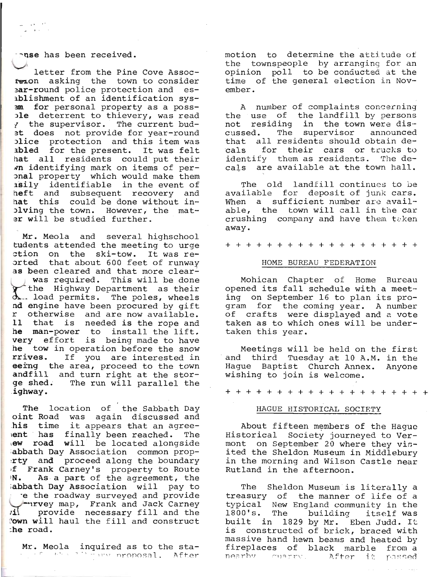nse has been received.

a na kalendari<br>Tanzania kalendari

letter from the Pine Cove Assoc-<br>reion asking the town to consider **Bar-round** police protection and esablishment of an identification sys-<br>am for personal property as a poss-<br>ble deterrent to thievery, was read I the supervisor. The current bud-<br>at does not provide for year-round atice protection and this item was<br>abled for the present. It was felt hat all residents could put their<br>in identifying mark on items of peronal property which would make them<br>asily identifiable in the event of<br>heft and subsequent recovery and<br>hat this could be done without in-<br>olving the town. However, the mater will be studied further.

Mr. Meola and several highschool<br>tudents attended the meeting to urge<br>ction on the ski-tow. It was re-<br>orted that about 600 feet of runway as been cleared and that more clear-<br>was required. This will be done f the Highway Department as their<br>d.-- load permits. The poles, wheels nd engine have been procured by gift<br>r otherwise and are now available.<br>11 that is needed is the rope and<br>he man-power to install the lift.<br>very effort is being made to have<br>he tow in operation before the snow<br>rrives. If y ge shed. The run will parallel the ighway.

The location of the Sabbath Day oint Road was again discussed and his time it appears that an agree-<br>ent has finally been reached. The iew road will be located alongside ;abbath Day Association common prop-<br>:rty and proceed along the boundary<br>of Frank Carney's property to Route<br>N. As a part of the agreement, the ;abbath Day Association will pay to e the roadway surveyed and provide<br>-- lrvey map, Frank and Jack Carney rill provide necessary fill and the Town will haul the fill and construct -he road.

Mr. Meola inquired as to the sta-

motion to determine the attitude of<br>the townspeople by arranging for an<br>opinion poll to be conducted at the<br>time of the general election in November.

A number of complaints concerning<br>the use of the landfill by persons<br>not residing in the town were dis-<br>cussed. The supervisor announced<br>that all residents should obtain decals for their cars or trucks to identify them as residents. The decals are available at the town haIl.

The old landfill continues to be available for deposit of junk cars. When a sufficient number are avail-<br>able, the town will call in the car crushing company and have them taken away.

+++++++++++++++++++

#### HOME BUREAU FEDERATTON

Mohican Chapter of Home Bureau<br>opened its fall schedule with a meeting on September 16 to plan its pro-<br>gram for the coming year. A number<br>of crafts were displayed and a vote taken as to which ones will be undertaken this year.

Meetings will be held on the first and third Tuesday at 10 A.M. in the Hague Baptist Church Annex. Anyone wishing to join is welcome.

+++++++++++++++++++

## HAGUE HISTORICAL SOCIETY

About fifteen members of the Hague<br>Historical Society journeyed to Ver-<br>mont on September 20 where they vis-<br>ited the Sheldon Museum in Middlebury<br>in the morning and Wilson Castle near<br>Rutland in the afternoon.

The Sheldon Museum is literally a<br>treasury of the manner of life of a typical New England community in the 1800's. The building itself was<br>built in 1829 by Mr. Eben Judd. It<br>is constructed of brick, braced with<br>massive hand hewn beams and heated by<br>fireplaces of black marble from a<br>nearby cu the passed of black maible flom a<br>nearby cuarty. After it passed